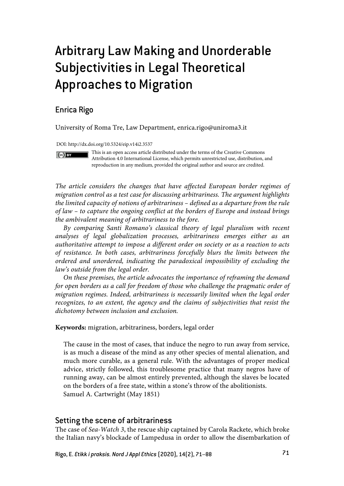# Arbitrary Law Making and Unorderable Subjectivities in Legal Theoretical Approaches to Migration

## Enrica Rigo

 $(cc)$  BY

University of Roma Tre, Law Department, enrica.rigo@uniroma3.it

DOI: http://dx.doi.org/10.5324/eip.v14i2.3537

This is an open access article distributed under the terms of the Creative Commons Attribution 4.0 International License, which permits unrestricted use, distribution, and reproduction in any medium, provided the original author and source are credited.

*The article considers the changes that have affected European border regimes of migration control as a test case for discussing arbitrariness. The argument highlights the limited capacity of notions of arbitrariness – defined as a departure from the rule of law – to capture the ongoing conflict at the borders of Europe and instead brings the ambivalent meaning of arbitrariness to the fore.* 

*By comparing Santi Romano's classical theory of legal pluralism with recent analyses of legal globalization processes, arbitrariness emerges either as an authoritative attempt to impose a different order on society or as a reaction to acts of resistance. In both cases, arbitrariness forcefully blurs the limits between the ordered and unordered, indicating the paradoxical impossibility of excluding the law's outside from the legal order.* 

*On these premises, the article advocates the importance of reframing the demand for open borders as a call for freedom of those who challenge the pragmatic order of migration regimes. Indeed, arbitrariness is necessarily limited when the legal order recognizes, to an extent, the agency and the claims of subjectivities that resist the dichotomy between inclusion and exclusion.*

**Keywords:** migration, arbitrariness, borders, legal order

The cause in the most of cases, that induce the negro to run away from service, is as much a disease of the mind as any other species of mental alienation, and much more curable, as a general rule. With the advantages of proper medical advice, strictly followed, this troublesome practice that many negros have of running away, can be almost entirely prevented, although the slaves be located on the borders of a free state, within a stone's throw of the abolitionists. Samuel A. Cartwright (May 1851)

## Setting the scene of arbitrariness

The case of *Sea-Watch 3*, the rescue ship captained by Carola Rackete, which broke the Italian navy's blockade of Lampedusa in order to allow the disembarkation of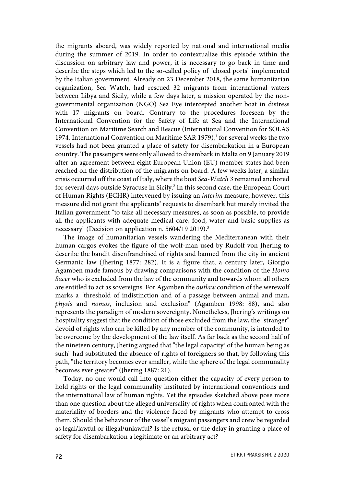the migrants aboard, was widely reported by national and international media during the summer of 2019. In order to contextualize this episode within the discussion on arbitrary law and power, it is necessary to go back in time and describe the steps which led to the so-called policy of "closed ports" implemented by the Italian government. Already on 23 December 2018, the same humanitarian organization, Sea Watch, had rescued 32 migrants from international waters between Libya and Sicily, while a few days later, a mission operated by the nongovernmental organization (NGO) Sea Eye intercepted another boat in distress with 17 migrants on board. Contrary to the procedures foreseen by the International Convention for the Safety of Life at Sea and the International Convention on Maritime Search and Rescue (International Convention for SOLAS 1974, International Convention on Maritime SAR 1979),<sup>1</sup> for several weeks the two vessels had not been granted a place of safety for disembarkation in a European country. The passengers were only allowed to disembark in Malta on 9 January 2019 after an agreement between eight European Union (EU) member states had been reached on the distribution of the migrants on board. A few weeks later, a similar crisis occurred off the coast of Italy, where the boat *Sea-Watch 3* remained anchored for several days outside Syracuse in Sicily.<sup>2</sup> In this second case, the European Court of Human Rights (ECHR) intervened by issuing an *interim* measure; however, this measure did not grant the applicants' requests to disembark but merely invited the Italian government "to take all necessary measures, as soon as possible, to provide all the applicants with adequate medical care, food, water and basic supplies as necessary" (Decision on application n. 5604/19 2019).3

The image of humanitarian vessels wandering the Mediterranean with their human cargos evokes the figure of the wolf-man used by Rudolf von Jhering to describe the bandit disenfranchised of rights and banned from the city in ancient Germanic law (Jhering 1877: 282). It is a figure that, a century later, Giorgio Agamben made famous by drawing comparisons with the condition of the *Homo Sacer* who is excluded from the law of the community and towards whom all others are entitled to act as sovereigns. For Agamben the *outlaw* condition of the werewolf marks a "threshold of indistinction and of a passage between animal and man, *physis* and *nomos*, inclusion and exclusion" (Agamben 1998: 88), and also represents the paradigm of modern sovereignty. Nonetheless, Jhering's writings on hospitality suggest that the condition of those excluded from the law, the "stranger" devoid of rights who can be killed by any member of the community, is intended to be overcome by the development of the law itself. As far back as the second half of the nineteen century, Jhering argued that "the legal capacity<sup>4</sup> of the human being as such" had substituted the absence of rights of foreigners so that, by following this path, "the territory becomes ever smaller, while the sphere of the legal communality becomes ever greater" (Jhering 1887: 21).

Today, no one would call into question either the capacity of every person to hold rights or the legal communality instituted by international conventions and the international law of human rights. Yet the episodes sketched above pose more than one question about the alleged universality of rights when confronted with the materiality of borders and the violence faced by migrants who attempt to cross them. Should the behaviour of the vessel's migrant passengers and crew be regarded as legal/lawful or illegal/unlawful? Is the refusal or the delay in granting a place of safety for disembarkation a legitimate or an arbitrary act?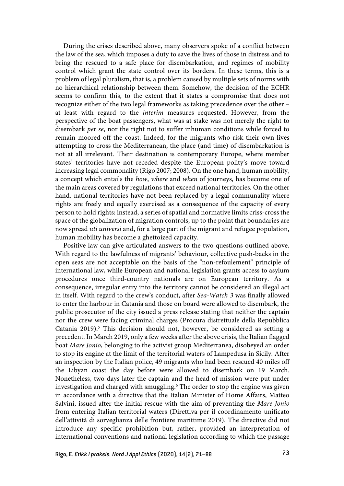During the crises described above, many observers spoke of a conflict between the law of the sea, which imposes a duty to save the lives of those in distress and to bring the rescued to a safe place for disembarkation, and regimes of mobility control which grant the state control over its borders. In these terms, this is a problem of legal pluralism, that is, a problem caused by multiple sets of norms with no hierarchical relationship between them. Somehow, the decision of the ECHR seems to confirm this, to the extent that it states a compromise that does not recognize either of the two legal frameworks as taking precedence over the other – at least with regard to the *interim* measures requested. However, from the perspective of the boat passengers, what was at stake was not merely the right to disembark *per se*, nor the right not to suffer inhuman conditions while forced to remain moored off the coast. Indeed, for the migrants who risk their own lives attempting to cross the Mediterranean, the place (and time) of disembarkation is not at all irrelevant. Their destination is contemporary Europe, where member states' territories have not receded despite the European polity's move toward increasing legal commonality (Rigo 2007; 2008). On the one hand, human mobility, a concept which entails the *how*, *where* and *when* of journeys, has become one of the main areas covered by regulations that exceed national territories. On the other hand, national territories have not been replaced by a legal communality where rights are freely and equally exercised as a consequence of the capacity of every person to hold rights: instead, a series of spatial and normative limits criss-cross the space of the globalization of migration controls, up to the point that boundaries are now spread *uti universi* and, for a large part of the migrant and refugee population, human mobility has become a ghettoized capacity.

Positive law can give articulated answers to the two questions outlined above. With regard to the lawfulness of migrants' behaviour, collective push-backs in the open seas are not acceptable on the basis of the "non-refoulement" principle of international law, while European and national legislation grants access to asylum procedures once third-country nationals are on European territory. As a consequence, irregular entry into the territory cannot be considered an illegal act in itself. With regard to the crew's conduct, after *Sea-Watch 3* was finally allowed to enter the harbour in Catania and those on board were allowed to disembark, the public prosecutor of the city issued a press release stating that neither the captain nor the crew were facing criminal charges (Procura distrettuale della Repubblica Catania 2019).<sup>5</sup> This decision should not, however, be considered as setting a precedent. In March 2019, only a few weeks after the above crisis, the Italian flagged boat *Mare Jonio*, belonging to the activist group Mediterranea, disobeyed an order to stop its engine at the limit of the territorial waters of Lampedusa in Sicily. After an inspection by the Italian police, 49 migrants who had been rescued 40 miles off the Libyan coast the day before were allowed to disembark on 19 March. Nonetheless, two days later the captain and the head of mission were put under investigation and charged with smuggling.<sup>6</sup> The order to stop the engine was given in accordance with a directive that the Italian Minister of Home Affairs, Matteo Salvini, issued after the initial rescue with the aim of preventing the *Mare Jonio* from entering Italian territorial waters (Direttiva per il coordinamento unificato dell'attività di sorveglianza delle frontiere marittime 2019). The directive did not introduce any specific prohibition but, rather, provided an interpretation of international conventions and national legislation according to which the passage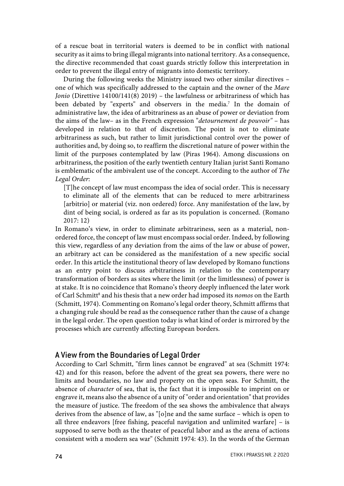of a rescue boat in territorial waters is deemed to be in conflict with national security as it aims to bring illegal migrants into national territory. As a consequence, the directive recommended that coast guards strictly follow this interpretation in order to prevent the illegal entry of migrants into domestic territory.

During the following weeks the Ministry issued two other similar directives – one of which was specifically addressed to the captain and the owner of the *Mare Jonio* (Direttive 14100/141(8) 2019) *–* the lawfulness or arbitrariness of which has been debated by "experts" and observers in the media.<sup>7</sup> In the domain of administrative law, the idea of arbitrariness as an abuse of power or deviation from the aims of the law– as in the French expression "*detournement de pouvoir"* – has developed in relation to that of discretion. The point is not to eliminate arbitrariness as such, but rather to limit jurisdictional control over the power of authorities and, by doing so, to reaffirm the discretional nature of power within the limit of the purposes contemplated by law (Piras 1964). Among discussions on arbitrariness, the position of the early twentieth century Italian jurist Santi Romano is emblematic of the ambivalent use of the concept. According to the author of *The Legal Order*:

[T]he concept of law must encompass the idea of social order. This is necessary to eliminate all of the elements that can be reduced to mere arbitrariness [arbitrio] or material (viz. non ordered) force. Any manifestation of the law, by dint of being social, is ordered as far as its population is concerned. (Romano 2017: 12)

In Romano's view, in order to eliminate arbitrariness, seen as a material, nonordered force, the concept of law must encompass social order. Indeed, by following this view, regardless of any deviation from the aims of the law or abuse of power, an arbitrary act can be considered as the manifestation of a new specific social order. In this article the institutional theory of law developed by Romano functions as an entry point to discuss arbitrariness in relation to the contemporary transformation of borders as sites where the limit (or the limitlessness) of power is at stake. It is no coincidence that Romano's theory deeply influenced the later work of Carl Schmitt<sup>8</sup> and his thesis that a new order had imposed its *nomos* on the Earth (Schmitt, 1974). Commenting on Romano's legal order theory, Schmitt affirms that a changing rule should be read as the consequence rather than the cause of a change in the legal order. The open question today is what kind of order is mirrored by the processes which are currently affecting European borders.

### A View from the Boundaries of Legal Order

According to Carl Schmitt, "firm lines cannot be engraved" at sea (Schmitt 1974: 42) and for this reason, before the advent of the great sea powers, there were no limits and boundaries, no law and property on the open seas. For Schmitt, the absence of *character* of sea, that is, the fact that it is impossible to imprint on or engrave it, means also the absence of a unity of "order and orientation" that provides the measure of justice. The freedom of the sea shows the ambivalence that always derives from the absence of law, as "[o]ne and the same surface – which is open to all three endeavors [free fishing, peaceful navigation and unlimited warfare] – is supposed to serve both as the theater of peaceful labor and as the arena of actions consistent with a modern sea war" (Schmitt 1974: 43). In the words of the German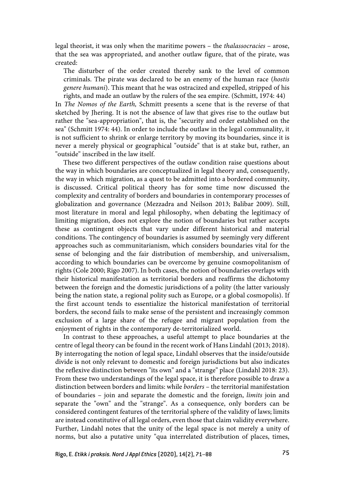legal theorist, it was only when the maritime powers – the *thalassocracies* – arose, that the sea was appropriated, and another outlaw figure, that of the pirate, was created:

The disturber of the order created thereby sank to the level of common criminals. The pirate was declared to be an enemy of the human race (*hostis genere humani*). This meant that he was ostracized and expelled, stripped of his rights, and made an outlaw by the rulers of the sea empire. (Schmitt, 1974: 44)

In *The Nomos of the Earth,* Schmitt presents a scene that is the reverse of that sketched by Jhering. It is not the absence of law that gives rise to the outlaw but rather the "sea-appropriation", that is, the "security and order established on the sea" (Schmitt 1974: 44). In order to include the outlaw in the legal communality, it is not sufficient to shrink or enlarge territory by moving its boundaries, since it is never a merely physical or geographical "outside" that is at stake but, rather, an "outside" inscribed in the law itself.

These two different perspectives of the outlaw condition raise questions about the way in which boundaries are conceptualized in legal theory and, consequently, the way in which migration, as a quest to be admitted into a bordered community, is discussed. Critical political theory has for some time now discussed the complexity and centrality of borders and boundaries in contemporary processes of globalization and governance (Mezzadra and Neilson 2013; Balibar 2009). Still, most literature in moral and legal philosophy, when debating the legitimacy of limiting migration, does not explore the notion of boundaries but rather accepts these as contingent objects that vary under different historical and material conditions. The contingency of boundaries is assumed by seemingly very different approaches such as communitarianism, which considers boundaries vital for the sense of belonging and the fair distribution of membership, and universalism, according to which boundaries can be overcome by genuine cosmopolitanism of rights (Cole 2000; Rigo 2007). In both cases, the notion of boundaries overlaps with their historical manifestation as territorial borders and reaffirms the dichotomy between the foreign and the domestic jurisdictions of a polity (the latter variously being the nation state, a regional polity such as Europe, or a global cosmopolis). If the first account tends to essentialize the historical manifestation of territorial borders, the second fails to make sense of the persistent and increasingly common exclusion of a large share of the refugee and migrant population from the enjoyment of rights in the contemporary de-territorialized world.

In contrast to these approaches, a useful attempt to place boundaries at the centre of legal theory can be found in the recent work of Hans Lindahl (2013; 2018). By interrogating the notion of legal space, Lindahl observes that the inside/outside divide is not only relevant to domestic and foreign jurisdictions but also indicates the reflexive distinction between "its own" and a "strange" place (Lindahl 2018: 23). From these two understandings of the legal space, it is therefore possible to draw a distinction between borders and limits: while *borders* – the territorial manifestation of boundaries – join and separate the domestic and the foreign, *limits* join and separate the "own" and the "strange". As a consequence, only borders can be considered contingent features of the territorial sphere of the validity of laws; limits are instead constitutive of all legal orders, even those that claim validity everywhere. Further, Lindahl notes that the unity of the legal space is not merely a unity of norms, but also a putative unity "qua interrelated distribution of places, times,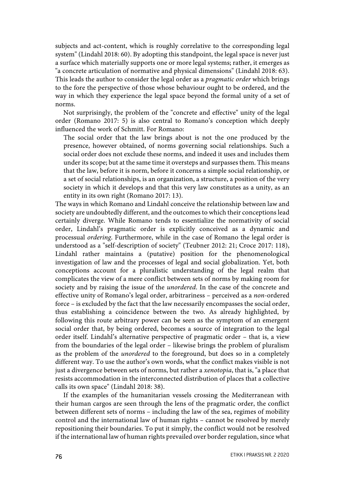subjects and act-content, which is roughly correlative to the corresponding legal system" (Lindahl 2018: 60). By adopting this standpoint, the legal space is never just a surface which materially supports one or more legal systems; rather, it emerges as "a concrete articulation of normative and physical dimensions" (Lindahl 2018: 63). This leads the author to consider the legal order as a *pragmatic order* which brings to the fore the perspective of those whose behaviour ought to be ordered, and the way in which they experience the legal space beyond the formal unity of a set of norms.

Not surprisingly, the problem of the "concrete and effective" unity of the legal order (Romano 2017: 5) is also central to Romano's conception which deeply influenced the work of Schmitt. For Romano:

The social order that the law brings about is not the one produced by the presence, however obtained, of norms governing social relationships. Such a social order does not exclude these norms, and indeed it uses and includes them under its scope; but at the same time it oversteps and surpasses them. This means that the law, before it is norm, before it concerns a simple social relationship, or a set of social relationships, is an organization, a structure, a position of the very society in which it develops and that this very law constitutes as a unity, as an entity in its own right (Romano 2017: 13).

The ways in which Romano and Lindahl conceive the relationship between law and society are undoubtedly different, and the outcomes to which their conceptions lead certainly diverge. While Romano tends to essentialize the normativity of social order, Lindahl's pragmatic order is explicitly conceived as a dynamic and processual *ordering*. Furthermore, while in the case of Romano the legal order is understood as a "self-description of society" (Teubner 2012: 21; Croce 2017: 118), Lindahl rather maintains a (putative) position for the phenomenological investigation of law and the processes of legal and social globalization. Yet, both conceptions account for a pluralistic understanding of the legal realm that complicates the view of a mere conflict between sets of norms by making room for society and by raising the issue of the *unordered*. In the case of the concrete and effective unity of Romano's legal order, arbitrariness – perceived as a *non*-ordered force – is excluded by the fact that the law necessarily encompasses the social order, thus establishing a coincidence between the two. As already highlighted, by following this route arbitrary power can be seen as the symptom of an emergent social order that, by being ordered, becomes a source of integration to the legal order itself. Lindahl's alternative perspective of pragmatic order – that is, a view from the boundaries of the legal order – likewise brings the problem of pluralism as the problem of the *unordered* to the foreground, but does so in a completely different way. To use the author's own words, what the conflict makes visible is not just a divergence between sets of norms, but rather a *xenotopia*, that is, "a place that resists accommodation in the interconnected distribution of places that a collective calls its own space" (Lindahl 2018: 38).

If the examples of the humanitarian vessels crossing the Mediterranean with their human cargos are seen through the lens of the pragmatic order, the conflict between different sets of norms – including the law of the sea, regimes of mobility control and the international law of human rights – cannot be resolved by merely repositioning their boundaries. To put it simply, the conflict would not be resolved if the international law of human rights prevailed over border regulation, since what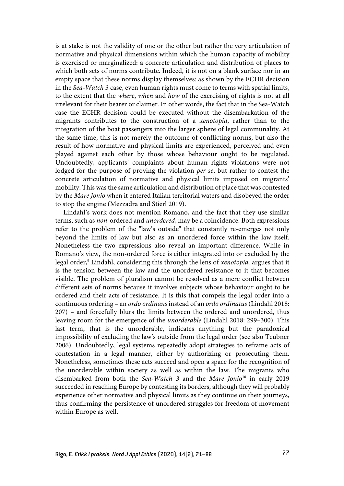is at stake is not the validity of one or the other but rather the very articulation of normative and physical dimensions within which the human capacity of mobility is exercised or marginalized: a concrete articulation and distribution of places to which both sets of norms contribute. Indeed, it is not on a blank surface nor in an empty space that these norms display themselves: as shown by the ECHR decision in the *Sea-Watch 3* case, even human rights must come to terms with spatial limits, to the extent that the *where*, *when* and *how* of the exercising of rights is not at all irrelevant for their bearer or claimer. In other words, the fact that in the Sea-Watch case the ECHR decision could be executed without the disembarkation of the migrants contributes to the construction of a *xenotopia*, rather than to the integration of the boat passengers into the larger sphere of legal communality. At the same time, this is not merely the outcome of conflicting norms, but also the result of how normative and physical limits are experienced, perceived and even played against each other by those whose behaviour ought to be regulated. Undoubtedly, applicants' complaints about human rights violations were not lodged for the purpose of proving the violation *per se*, but rather to contest the concrete articulation of normative and physical limits imposed on migrants' mobility. This was the same articulation and distribution of place that was contested by the *Mare Jonio* when it entered Italian territorial waters and disobeyed the order to stop the engine (Mezzadra and Stierl 2019).

Lindahl's work does not mention Romano, and the fact that they use similar terms, such as *non*-ordered and *unordered*, may be a coincidence. Both expressions refer to the problem of the "law's outside" that constantly re-emerges not only beyond the limits of law but also as an unordered force within the law itself. Nonetheless the two expressions also reveal an important difference. While in Romano's view, the non-ordered force is either integrated into or excluded by the legal order,<sup>9</sup> Lindahl, considering this through the lens of *xenotopia*, argues that it is the tension between the law and the unordered resistance to it that becomes visible. The problem of pluralism cannot be resolved as a mere conflict between different sets of norms because it involves subjects whose behaviour ought to be ordered and their acts of resistance. It is this that compels the legal order into a continuous ordering – an *ordo ordinans* instead of an *ordo ordinatus* (Lindahl 2018: 207) – and forcefully blurs the limits between the ordered and unordered, thus leaving room for the emergence of the *unorderable* (Lindahl 2018: 299–300). This last term, that is the unorderable, indicates anything but the paradoxical impossibility of excluding the law's outside from the legal order (see also Teubner 2006). Undoubtedly, legal systems repeatedly adopt strategies to reframe acts of contestation in a legal manner, either by authorizing or prosecuting them. Nonetheless, sometimes these acts succeed and open a space for the recognition of the unorderable within society as well as within the law. The migrants who disembarked from both the *Sea-Watch 3* and the *Mare Jonio*<sup>10</sup> in early 2019 succeeded in reaching Europe by contesting its borders, although they will probably experience other normative and physical limits as they continue on their journeys, thus confirming the persistence of unordered struggles for freedom of movement within Europe as well.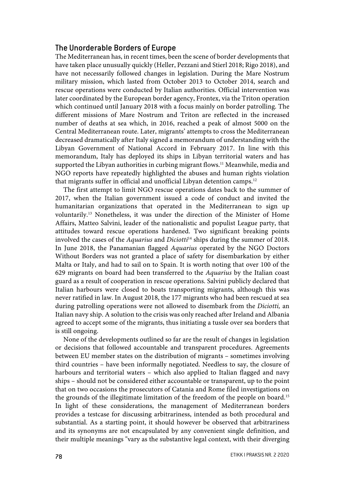#### The Unorderable Borders of Europe

The Mediterranean has, in recent times, been the scene of border developments that have taken place unusually quickly (Heller, Pezzani and Stierl 2018; Rigo 2018), and have not necessarily followed changes in legislation. During the Mare Nostrum military mission, which lasted from October 2013 to October 2014, search and rescue operations were conducted by Italian authorities. Official intervention was later coordinated by the European border agency, Frontex, via the Triton operation which continued until January 2018 with a focus mainly on border patrolling. The different missions of Mare Nostrum and Triton are reflected in the increased number of deaths at sea which, in 2016, reached a peak of almost 5000 on the Central Mediterranean route. Later, migrants' attempts to cross the Mediterranean decreased dramatically after Italy signed a memorandum of understanding with the Libyan Government of National Accord in February 2017. In line with this memorandum, Italy has deployed its ships in Libyan territorial waters and has supported the Libyan authorities in curbing migrant flows.<sup>11</sup> Meanwhile, media and NGO reports have repeatedly highlighted the abuses and human rights violation that migrants suffer in official and unofficial Libyan detention camps.<sup>12</sup>

The first attempt to limit NGO rescue operations dates back to the summer of 2017, when the Italian government issued a code of conduct and invited the humanitarian organizations that operated in the Mediterranean to sign up voluntarily.13 Nonetheless, it was under the direction of the Minister of Home Affairs, Matteo Salvini, leader of the nationalistic and populist League party, that attitudes toward rescue operations hardened. Two significant breaking points involved the cases of the *Aquarius* and *Diciotti*<sup>14</sup> ships during the summer of 2018. In June 2018, the Panamanian flagged *Aquarius* operated by the NGO Doctors Without Borders was not granted a place of safety for disembarkation by either Malta or Italy, and had to sail on to Spain. It is worth noting that over 100 of the 629 migrants on board had been transferred to the *Aquarius* by the Italian coast guard as a result of cooperation in rescue operations. Salvini publicly declared that Italian harbours were closed to boats transporting migrants, although this was never ratified in law. In August 2018, the 177 migrants who had been rescued at sea during patrolling operations were not allowed to disembark from the *Diciotti,* an Italian navy ship. A solution to the crisis was only reached after Ireland and Albania agreed to accept some of the migrants, thus initiating a tussle over sea borders that is still ongoing.

None of the developments outlined so far are the result of changes in legislation or decisions that followed accountable and transparent procedures. Agreements between EU member states on the distribution of migrants – sometimes involving third countries – have been informally negotiated. Needless to say, the closure of harbours and territorial waters – which also applied to Italian flagged and navy ships – should not be considered either accountable or transparent, up to the point that on two occasions the prosecutors of Catania and Rome filed investigations on the grounds of the illegitimate limitation of the freedom of the people on board.15 In light of these considerations, the management of Mediterranean borders provides a testcase for discussing arbitrariness, intended as both procedural and substantial. As a starting point, it should however be observed that arbitrariness and its synonyms are not encapsulated by any convenient single definition, and their multiple meanings "vary as the substantive legal context, with their diverging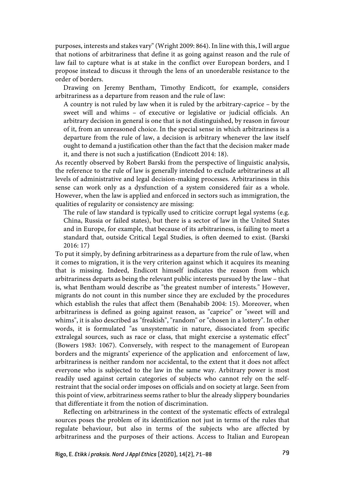purposes, interests and stakes vary" (Wright 2009: 864). In line with this, I will argue that notions of arbitrariness that define it as going against reason and the rule of law fail to capture what is at stake in the conflict over European borders, and I propose instead to discuss it through the lens of an unorderable resistance to the order of borders.

Drawing on Jeremy Bentham, Timothy Endicott, for example, considers arbitrariness as a departure from reason and the rule of law:

A country is not ruled by law when it is ruled by the arbitrary-caprice – by the sweet will and whims – of executive or legislative or judicial officials. An arbitrary decision in general is one that is not distinguished, by reason in favour of it, from an unreasoned choice. In the special sense in which arbitrariness is a departure from the rule of law, a decision is arbitrary whenever the law itself ought to demand a justification other than the fact that the decision maker made it, and there is not such a justification (Endicott 2014: 18).

As recently observed by Robert Barski from the perspective of linguistic analysis, the reference to the rule of law is generally intended to exclude arbitrariness at all levels of administrative and legal decision-making processes. Arbitrariness in this sense can work only as a dysfunction of a system considered fair as a whole. However, when the law is applied and enforced in sectors such as immigration, the qualities of regularity or consistency are missing:

The rule of law standard is typically used to criticize corrupt legal systems (e.g. China, Russia or failed states), but there is a sector of law in the United States and in Europe, for example, that because of its arbitrariness, is failing to meet a standard that, outside Critical Legal Studies, is often deemed to exist. (Barski 2016: 17)

To put it simply, by defining arbitrariness as a departure from the rule of law, when it comes to migration, it is the very criterion against which it acquires its meaning that is missing. Indeed, Endicott himself indicates the reason from which arbitrariness departs as being the relevant public interests pursued by the law – that is, what Bentham would describe as "the greatest number of interests." However, migrants do not count in this number since they are excluded by the procedures which establish the rules that affect them (Benahabib 2004: 15). Moreover, when arbitrariness is defined as going against reason, as "caprice" or "sweet will and whims", it is also described as "freakish", "random" or "chosen in a lottery". In other words, it is formulated "as unsystematic in nature, dissociated from specific extralegal sources, such as race or class, that might exercise a systematic effect" (Bowers 1983: 1067). Conversely, with respect to the management of European borders and the migrants' experience of the application and enforcement of law, arbitrariness is neither random nor accidental, to the extent that it does not affect everyone who is subjected to the law in the same way. Arbitrary power is most readily used against certain categories of subjects who cannot rely on the selfrestraint that the social order imposes on officials and on society at large. Seen from this point of view, arbitrariness seems rather to blur the already slippery boundaries that differentiate it from the notion of discrimination.

Reflecting on arbitrariness in the context of the systematic effects of extralegal sources poses the problem of its identification not just in terms of the rules that regulate behaviour, but also in terms of the subjects who are affected by arbitrariness and the purposes of their actions. Access to Italian and European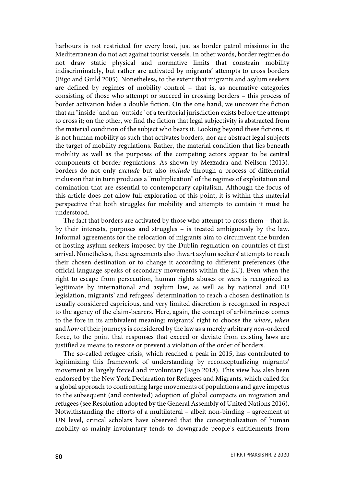harbours is not restricted for every boat, just as border patrol missions in the Mediterranean do not act against tourist vessels. In other words, border regimes do not draw static physical and normative limits that constrain mobility indiscriminately, but rather are activated by migrants' attempts to cross borders (Bigo and Guild 2005). Nonetheless, to the extent that migrants and asylum seekers are defined by regimes of mobility control – that is, as normative categories consisting of those who attempt or succeed in crossing borders – this process of border activation hides a double fiction. On the one hand, we uncover the fiction that an "inside" and an "outside" of a territorial jurisdiction exists before the attempt to cross it; on the other, we find the fiction that legal subjectivity is abstracted from the material condition of the subject who bears it. Looking beyond these fictions, it is not human mobility as such that activates borders, nor are abstract legal subjects the target of mobility regulations. Rather, the material condition that lies beneath mobility as well as the purposes of the competing actors appear to be central components of border regulations. As shown by Mezzadra and Neilson (2013), borders do not only *exclude* but also *include* through a process of differential inclusion that in turn produces a "multiplication" of the regimes of exploitation and domination that are essential to contemporary capitalism. Although the focus of this article does not allow full exploration of this point, it is within this material perspective that both struggles for mobility and attempts to contain it must be understood.

The fact that borders are activated by those who attempt to cross them – that is, by their interests, purposes and struggles – is treated ambiguously by the law. Informal agreements for the relocation of migrants aim to circumvent the burden of hosting asylum seekers imposed by the Dublin regulation on countries of first arrival. Nonetheless, these agreements also thwart asylum seekers' attempts to reach their chosen destination or to change it according to different preferences (the official language speaks of secondary movements within the EU). Even when the right to escape from persecution, human rights abuses or wars is recognized as legitimate by international and asylum law, as well as by national and EU legislation, migrants' and refugees' determination to reach a chosen destination is usually considered capricious, and very limited discretion is recognized in respect to the agency of the claim-bearers. Here, again, the concept of arbitrariness comes to the fore in its ambivalent meaning: migrants' right to choose the *where*, *when* and *how* of their journeys is considered by the law as a merely arbitrary *non*-ordered force, to the point that responses that exceed or deviate from existing laws are justified as means to restore or prevent a violation of the order of borders.

The so-called refugee crisis, which reached a peak in 2015, has contributed to legitimizing this framework of understanding by reconceptualizing migrants' movement as largely forced and involuntary (Rigo 2018). This view has also been endorsed by the New York Declaration for Refugees and Migrants, which called for a global approach to confronting large movements of populations and gave impetus to the subsequent (and contested) adoption of global compacts on migration and refugees (see Resolution adopted by the General Assembly of United Nations 2016). Notwithstanding the efforts of a multilateral – albeit non-binding – agreement at UN level, critical scholars have observed that the conceptualization of human mobility as mainly involuntary tends to downgrade people's entitlements from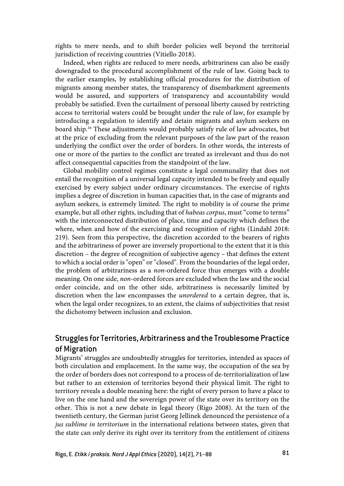rights to mere needs, and to shift border policies well beyond the territorial jurisdiction of receiving countries (Vitiello 2018).

Indeed, when rights are reduced to mere needs, arbitrariness can also be easily downgraded to the procedural accomplishment of the rule of law. Going back to the earlier examples, by establishing official procedures for the distribution of migrants among member states, the transparency of disembarkment agreements would be assured, and supporters of transparency and accountability would probably be satisfied. Even the curtailment of personal liberty caused by restricting access to territorial waters could be brought under the rule of law, for example by introducing a regulation to identify and detain migrants and asylum seekers on board ship.16 These adjustments would probably satisfy rule of law advocates, but at the price of excluding from the relevant purposes of the law part of the reason underlying the conflict over the order of borders. In other words, the interests of one or more of the parties to the conflict are treated as irrelevant and thus do not affect consequential capacities from the standpoint of the law.

Global mobility control regimes constitute a legal communality that does not entail the recognition of a universal legal capacity intended to be freely and equally exercised by every subject under ordinary circumstances. The exercise of rights implies a degree of discretion in human capacities that, in the case of migrants and asylum seekers, is extremely limited. The right to mobility is of course the prime example, but all other rights, including that of *habeas corpus*, must "come to terms" with the interconnected distribution of place, time and capacity which defines the where, when and how of the exercising and recognition of rights (Lindahl 2018: 219). Seen from this perspective, the discretion accorded to the bearers of rights and the arbitrariness of power are inversely proportional to the extent that it is this discretion – the degree of recognition of subjective agency – that defines the extent to which a social order is "open" or "closed". From the boundaries of the legal order, the problem of arbitrariness as a *non-*ordered force thus emerges with a double meaning. On one side, *non*-ordered forces are excluded when the law and the social order coincide, and on the other side, arbitrariness is necessarily limited by discretion when the law encompasses the *unordered* to a certain degree, that is, when the legal order recognizes, to an extent, the claims of subjectivities that resist the dichotomy between inclusion and exclusion.

## Struggles for Territories, Arbitrariness and the Troublesome Practice of Migration

Migrants' struggles are undoubtedly struggles for territories, intended as spaces of both circulation and emplacement. In the same way, the occupation of the sea by the order of borders does not correspond to a process of de-territorialization of law but rather to an extension of territories beyond their physical limit. The right to territory reveals a double meaning here: the right of every person to have a place to live on the one hand and the sovereign power of the state over its territory on the other. This is not a new debate in legal theory (Rigo 2008). At the turn of the twentieth century, the German jurist Georg Jellinek denounced the persistence of a *jus sublime in territorium* in the international relations between states, given that the state can only derive its right over its territory from the entitlement of citizens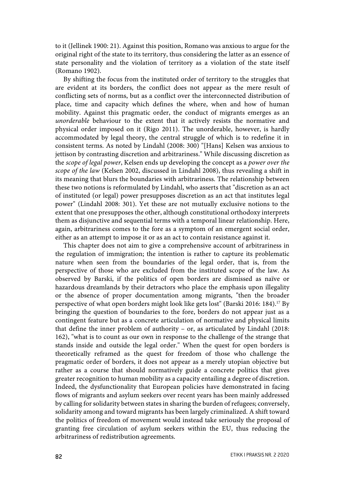to it (Jellinek 1900: 21). Against this position, Romano was anxious to argue for the original right of the state to its territory, thus considering the latter as an essence of state personality and the violation of territory as a violation of the state itself (Romano 1902).

By shifting the focus from the instituted order of territory to the struggles that are evident at its borders, the conflict does not appear as the mere result of conflicting sets of norms, but as a conflict over the interconnected distribution of place, time and capacity which defines the where, when and how of human mobility. Against this pragmatic order, the conduct of migrants emerges as an *unorderable* behaviour to the extent that it actively resists the normative and physical order imposed on it (Rigo 2011). The unorderable, however, is hardly accommodated by legal theory, the central struggle of which is to redefine it in consistent terms. As noted by Lindahl (2008: 300) "[Hans] Kelsen was anxious to jettison by contrasting discretion and arbitrariness." While discussing discretion as the *scope of legal power*, Kelsen ends up developing the concept as a *power over the scope of the law* (Kelsen 2002, discussed in Lindahl 2008), thus revealing a shift in its meaning that blurs the boundaries with arbitrariness. The relationship between these two notions is reformulated by Lindahl, who asserts that "discretion as an act of instituted (or legal) power presupposes discretion as an act that institutes legal power" (Lindahl 2008: 301). Yet these are not mutually exclusive notions to the extent that one presupposes the other, although constitutional orthodoxy interprets them as disjunctive and sequential terms with a temporal linear relationship. Here, again, arbitrariness comes to the fore as a symptom of an emergent social order, either as an attempt to impose it or as an act to contain resistance against it.

This chapter does not aim to give a comprehensive account of arbitrariness in the regulation of immigration; the intention is rather to capture its problematic nature when seen from the boundaries of the legal order, that is, from the perspective of those who are excluded from the instituted scope of the law. As observed by Barski, if the politics of open borders are dismissed as naïve or hazardous dreamlands by their detractors who place the emphasis upon illegality or the absence of proper documentation among migrants, "then the broader perspective of what open borders might look like gets lost" (Barski 2016: 184).<sup>17</sup> By bringing the question of boundaries to the fore, borders do not appear just as a contingent feature but as a concrete articulation of normative and physical limits that define the inner problem of authority – or, as articulated by Lindahl (2018: 162), "what is to count as our own in response to the challenge of the strange that stands inside and outside the legal order." When the quest for open borders is theoretically reframed as the quest for freedom of those who challenge the pragmatic order of borders, it does not appear as a merely utopian objective but rather as a course that should normatively guide a concrete politics that gives greater recognition to human mobility as a capacity entailing a degree of discretion. Indeed, the dysfunctionality that European policies have demonstrated in facing flows of migrants and asylum seekers over recent years has been mainly addressed by calling for solidarity between states in sharing the burden of refugees; conversely, solidarity among and toward migrants has been largely criminalized. A shift toward the politics of freedom of movement would instead take seriously the proposal of granting free circulation of asylum seekers within the EU, thus reducing the arbitrariness of redistribution agreements.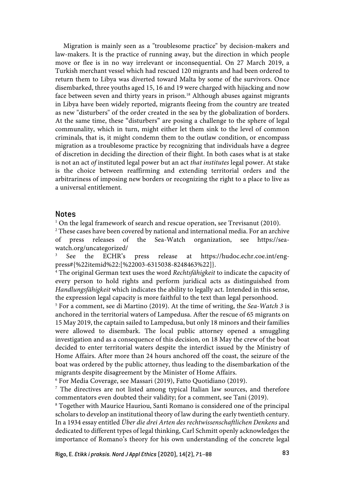Migration is mainly seen as a "troublesome practice" by decision-makers and law-makers. It is the practice of running away, but the direction in which people move or flee is in no way irrelevant or inconsequential. On 27 March 2019, a Turkish merchant vessel which had rescued 120 migrants and had been ordered to return them to Libya was diverted toward Malta by some of the survivors. Once disembarked, three youths aged 15, 16 and 19 were charged with hijacking and now face between seven and thirty years in prison.<sup>18</sup> Although abuses against migrants in Libya have been widely reported, migrants fleeing from the country are treated as new "disturbers" of the order created in the sea by the globalization of borders. At the same time, these "disturbers" are posing a challenge to the sphere of legal communality, which in turn, might either let them sink to the level of common criminals, that is, it might condemn them to the outlaw condition, or encompass migration as a troublesome practice by recognizing that individuals have a degree of discretion in deciding the direction of their flight. In both cases what is at stake is not an act *of* instituted legal power but an act *that institutes* legal power. At stake is the choice between reaffirming and extending territorial orders and the arbitrariness of imposing new borders or recognizing the right to a place to live as a universal entitlement.

#### **Notes**

<sup>1</sup> On the legal framework of search and rescue operation, see Trevisanut (2010).

<sup>2</sup> These cases have been covered by national and international media. For an archive of press releases of the Sea-Watch organization, see https://seawatch.org/uncategorized/

See the ECHR's press release at https://hudoc.echr.coe.int/engpress#{%22itemid%22:[%22003-6315038-8248463%22]}.

<sup>4</sup> The original German text uses the word *Rechtsfähigkeit* to indicate the capacity of every person to hold rights and perform juridical acts as distinguished from *Handlungsfähigkeit* which indicates the ability to legally act. Intended in this sense, the expression legal capacity is more faithful to the text than legal personhood.

<sup>5</sup> For a comment, see di Martino (2019). At the time of writing, the *Sea-Watch 3* is anchored in the territorial waters of Lampedusa. After the rescue of 65 migrants on 15 May 2019, the captain sailed to Lampedusa, but only 18 minors and their families were allowed to disembark. The local public attorney opened a smuggling investigation and as a consequence of this decision, on 18 May the crew of the boat decided to enter territorial waters despite the interdict issued by the Ministry of Home Affairs. After more than 24 hours anchored off the coast, the seizure of the boat was ordered by the public attorney, thus leading to the disembarkation of the migrants despite disagreement by the Minister of Home Affairs.

<sup>6</sup> For Media Coverage, see Massari (2019), Fatto Quotidiano (2019).

<sup>7</sup> The directives are not listed among typical Italian law sources, and therefore commentators even doubted their validity; for a comment, see Tani (2019).

<sup>8</sup> Together with Maurice Hauriou, Santi Romano is considered one of the principal scholars to develop an institutional theory of law during the early twentieth century. In a 1934 essay entitled *Über die drei Arten des rechtwissenschaftlichen Denkens* and dedicated to different types of legal thinking, Carl Schmitt openly acknowledges the importance of Romano's theory for his own understanding of the concrete legal

Rigo, E. *Etikk i praksis. Nord J Appl Ethics* (2020), 14(2), 71–88 83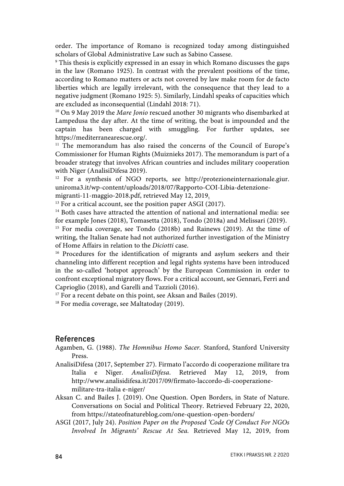order. The importance of Romano is recognized today among distinguished scholars of Global Administrative Law such as Sabino Cassese.

<sup>9</sup> This thesis is explicitly expressed in an essay in which Romano discusses the gaps in the law (Romano 1925). In contrast with the prevalent positions of the time, according to Romano matters or acts not covered by law make room for de facto liberties which are legally irrelevant, with the consequence that they lead to a negative judgment (Romano 1925: 5). Similarly, Lindahl speaks of capacities which are excluded as inconsequential (Lindahl 2018: 71).

<sup>10</sup> On 9 May 2019 the *Mare Jonio* rescued another 30 migrants who disembarked at Lampedusa the day after. At the time of writing, the boat is impounded and the captain has been charged with smuggling. For further updates, see https://mediterranearescue.org/.

<sup>11</sup> The memorandum has also raised the concerns of the Council of Europe's Commissioner for Human Rights (Muiznieks 2017). The memorandum is part of a broader strategy that involves African countries and includes military cooperation with Niger (AnalisiDifesa 2019).

<sup>12</sup> For a synthesis of NGO reports, see http://protezioneinternazionale.giur. uniroma3.it/wp-content/uploads/2018/07/Rapporto-COI-Libia-detenzione-

migranti-11-maggio-2018.pdf, retrieved May 12, 2019.

 $13$  For a critical account, see the position paper ASGI (2017).

<sup>14</sup> Both cases have attracted the attention of national and international media: see for example Jones (2018), Tomasetta (2018), Tondo (2018a) and Melissari (2019). <sup>15</sup> For media coverage, see Tondo (2018b) and Rainews (2019). At the time of writing, the Italian Senate had not authorized further investigation of the Ministry of Home Affairs in relation to the *Diciotti* case.

<sup>16</sup> Procedures for the identification of migrants and asylum seekers and their channeling into different reception and legal rights systems have been introduced in the so-called 'hotspot approach' by the European Commission in order to confront exceptional migratory flows. For a critical account, see Gennari, Ferri and Caprioglio (2018), and Garelli and Tazzioli (2016).

<sup>17</sup> For a recent debate on this point, see Aksan and Bailes (2019).

<sup>18</sup> For media coverage, see Maltatoday (2019).

#### References

Agamben, G. (1988). *The Homnibus Homo Sacer.* Stanford, Stanford University Press.

AnalisiDifesa (2017, September 27). Firmato l'accordo di cooperazione militare tra Italia e Niger. *AnalisiDifesa*. Retrieved May 12, 2019, from http://www.analisidifesa.it/2017/09/firmato-laccordo-di-cooperazionemilitare-tra-italia e-niger/

Aksan C. and Bailes J. (2019). One Question. Open Borders, in State of Nature. Conversations on Social and Political Theory. Retrieved February 22, 2020, from https://stateofnatureblog.com/one-question-open-borders/

ASGI (2017, July 24). *Position Paper on the Proposed 'Code Of Conduct For NGOs Involved In Migrants' Rescue At Sea.* Retrieved May 12, 2019, from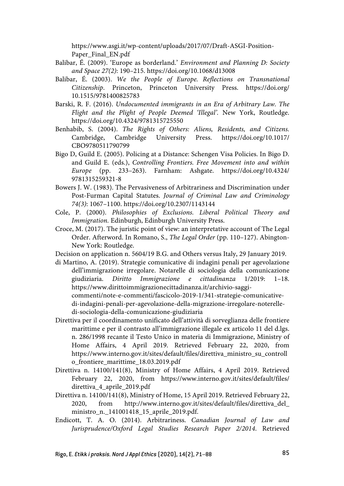https://www.asgi.it/wp-content/uploads/2017/07/Draft-ASGI-Position-Paper\_Final\_EN.pdf

- Balibar, É. (2009). 'Europe as borderland.' *Environment and Planning D: Society and Space 27(2)*: 190–215. https://doi.org/10.1068/d13008
- Balibar, É. (2003). *We the People of Europe. Reflections on Transnational Citizenship*. Princeton, Princeton University Press. https://doi.org/ 10.1515/9781400825783
- Barski, R. F. (2016). *Undocumented immigrants in an Era of Arbitrary Law. The Flight and the Plight of People Deemed 'Illegal'.* New York, Routledge. https://doi.org/10.4324/9781315725550
- Benhabib, S. (2004). *The Rights of Others: Aliens, Residents, and Citizens.*  Cambridge, Cambridge University Press. https://doi.org/10.1017/ CBO9780511790799
- Bigo D, Guild E. (2005). Policing at a Distance: Schengen Visa Policies. In Bigo D. and Guild E. (eds.), *Controlling Frontiers. Free Movement into and within Europe* (pp. 233–263). Farnham: Ashgate. https://doi.org/10.4324/ 9781315259321-8
- Bowers J. W. (1983). The Pervasiveness of Arbitrariness and Discrimination under Post-Furman Capital Statutes. *Journal of Criminal Law and Criminology 74(3)*: 1067–1100. https://doi.org/10.2307/1143144
- Cole, P. (2000). *Philosophies of Exclusions. Liberal Political Theory and Immigration.* Edinburgh, Edinburgh University Press.
- Croce, M. (2017). The juristic point of view: an interpretative account of The Legal Order. Afterword. In Romano, S., *The Legal Order* (pp. 110–127). Abington-New York: Routledge.
- Decision on application n. 5604/19 B.G. and Others versus Italy, 29 January 2019.
- di Martino, A. (2019). Strategie comunicative di indagini penali per agevolazione dell'immigrazione irregolare. Notarelle di sociologia della comunicazione giudiziaria. *Diritto Immigrazione e cittadinanza* 1/2019: 1–18. https://www.dirittoimmigrazionecittadinanza.it/archivio-saggicommenti/note-e-commenti/fascicolo-2019-1/341-strategie-comunicativedi-indagini-penali-per-agevolazione-della-migrazione-irregolare-noterelle-

di-sociologia-della-comunicazione-giudiziaria

- Direttiva per il coordinamento unificato dell'attività di sorveglianza delle frontiere marittime e per il contrasto all'immigrazione illegale ex articolo 11 del d.lgs. n. 286/1998 recante il Testo Unico in materia di Immigrazione, Ministry of Home Affairs, 4 April 2019. Retrieved February 22, 2020, from https://www.interno.gov.it/sites/default/files/direttiva\_ministro\_su\_controll o\_frontiere\_marittime\_18.03.2019.pdf
- Direttiva n. 14100/141(8), Ministry of Home Affairs, 4 April 2019. Retrieved February 22, 2020, from https://www.interno.gov.it/sites/default/files/ direttiva\_4\_aprile\_2019.pdf
- Direttiva n. 14100/141(8), Ministry of Home, 15 April 2019. Retrieved February 22, 2020, from http://www.interno.gov.it/sites/default/files/direttiva\_del\_ ministro\_n.\_141001418\_15\_aprile\_2019.pdf.
- Endicott, T. A. O. (2014). Arbitrariness. *Canadian Journal of Law and Jurisprudence/Oxford Legal Studies Research Paper 2/2014*. Retrieved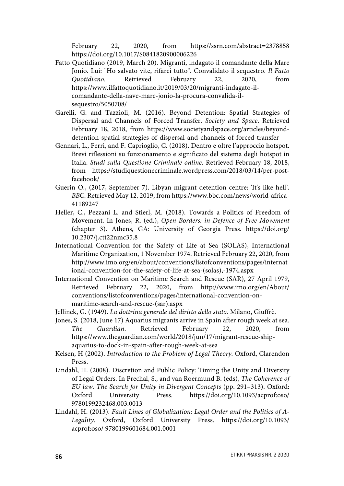February 22, 2020, from https://ssrn.com/abstract=2378858 https://doi.org/10.1017/S0841820900006226

- Fatto Quotidiano (2019, March 20). Migranti, indagato il comandante della Mare Jonio. Lui: "Ho salvato vite, rifarei tutto". Convalidato il sequestro. *Il Fatto Quotidiano.* Retrieved February 22, 2020, from https://www.ilfattoquotidiano.it/2019/03/20/migranti-indagato-ilcomandante-della-nave-mare-jonio-la-procura-convalida-ilsequestro/5050708/
- Garelli, G. and Tazzioli, M. (2016). Beyond Detention: Spatial Strategies of Dispersal and Channels of Forced Transfer. *Society and Space*. Retrieved February 18, 2018, from https://www.societyandspace.org/articles/beyonddetention-spatial-strategies-of-dispersal-and-channels-of-forced-transfer
- Gennari, L., Ferri, and F. Caprioglio, C. (2018). Dentro e oltre l'approccio hotspot. Brevi riflessioni su funzionamento e significato del sistema degli hotspot in Italia. *Studi sulla Questione Criminale online.* Retrieved February 18, 2018, from https://studiquestionecriminale.wordpress.com/2018/03/14/per-postfacebook/
- Guerin O., (2017, September 7). Libyan migrant detention centre: 'It's like hell'. *BBC*. Retrieved May 12, 2019, from https://www.bbc.com/news/world-africa-41189247
- Heller, C., Pezzani L. and Stierl, M. (2018). Towards a Politics of Freedom of Movement. In Jones, R. (ed.), *Open Borders: in Defence of Free Movement* (chapter 3). Athens, GA: University of Georgia Press. https://doi.org/ 10.2307/j.ctt22nmc35.8
- International Convention for the Safety of Life at Sea (SOLAS), International Maritime Organization, 1 November 1974. Retrieved February 22, 2020, from http://www.imo.org/en/about/conventions/listofconventions/pages/internat ional-convention-for-the-safety-of-life-at-sea-(solas),-1974.aspx
- International Convention on Maritime Search and Rescue (SAR), 27 April 1979, Retrieved February 22, 2020, from http://www.imo.org/en/About/ conventions/listofconventions/pages/international-convention-onmaritime-search-and-rescue-(sar).aspx
- Jellinek, G. (1949). *La dottrina generale del diritto dello stato.* Milano, Giuffrè.
- Jones, S. (2018, June 17) Aquarius migrants arrive in Spain after rough week at sea. *The Guardian*. Retrieved February 22, 2020, from https://www.theguardian.com/world/2018/jun/17/migrant-rescue-shipaquarius-to-dock-in-spain-after-rough-week-at-sea
- Kelsen, H (2002). *Introduction to the Problem of Legal Theory.* Oxford, Clarendon Press.
- Lindahl, H. (2008). Discretion and Public Policy: Timing the Unity and Diversity of Legal Orders. In Prechal, S., and van Roermund B. (eds), *The Coherence of EU law. The Search for Unity in Divergent Concepts* (pp. 291–313). Oxford: Oxford University Press. https://doi.org/10.1093/acprof:oso/ 9780199232468.003.0013
- Lindahl, H. (2013). *Fault Lines of Globalization: Legal Order and the Politics of A-Legality.* Oxford, Oxford University Press. https://doi.org/10.1093/ acprof:oso/ 9780199601684.001.0001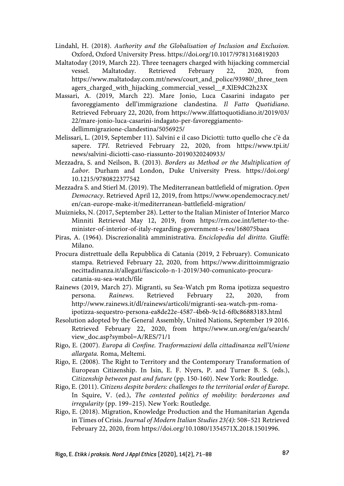- Lindahl, H. (2018). *Authority and the Globalisation of Inclusion and Exclusion.*  Oxford, Oxford University Press. https://doi.org/10.1017/9781316819203
- Maltatoday (2019, March 22). Three teenagers charged with hijacking commercial vessel. Maltatoday. Retrieved February 22, 2020, from https://www.maltatoday.com.mt/news/court\_and\_police/93980/\_three\_teen agers\_charged\_with\_hijacking\_commercial\_vessel\_\_#.XlE9dC2h23X
- Massari, A. (2019, March 22). Mare Jonio, Luca Casarini indagato per favoreggiamento dell'immigrazione clandestina. *Il Fatto Quotidiano*. Retrieved February 22, 2020, from https://www.ilfattoquotidiano.it/2019/03/ 22/mare-jonio-luca-casarini-indagato-per-favoreggiamentodellimmigrazione-clandestina/5056925/
- Melissari, L. (2019, September 11). Salvini e il caso Diciotti: tutto quello che c'è da sapere. *TPI*. Retrieved February 22, 2020, from https://www.tpi.it/ news/salvini-diciotti-caso-riassunto-20190320240933/
- Mezzadra, S. and Neilson, B. (2013). *Borders as Method or the Multiplication of Labor.* Durham and London, Duke University Press. https://doi.org/ 10.1215/9780822377542
- Mezzadra S. and Stierl M. (2019). The Mediterranean battlefield of migration. *Open Democracy*. Retrieved April 12, 2019, from https://www.opendemocracy.net/ en/can-europe-make-it/mediterranean-battlefield-migration/
- Muiznieks, N. (2017, September 28). Letter to the Italian Minister of Interior Marco Minniti Retrieved May 12, 2019, from https://rm.coe.int/letter-to-theminister-of-interior-of-italy-regarding-government-s-res/168075baea
- Piras, A. (1964). Discrezionalità amministrativa. *Enciclopedia del diritto.* Giuffé: Milano.
- Procura distrettuale della Repubblica di Catania (2019, 2 February). Comunicato stampa. Retrieved February 22, 2020, from https://www.dirittoimmigrazio necittadinanza.it/allegati/fascicolo-n-1-2019/340-comunicato-procuracatania-su-sea-watch/file
- Rainews (2019, March 27). Migranti, su Sea-Watch pm Roma ipotizza sequestro persona. *Rainews*. Retrieved February 22, 2020, from http://www.rainews.it/dl/rainews/articoli/migranti-sea-watch-pm-romaipotizza-sequestro-persona-ea8de22e-4587-4b6b-9c1d-6f0c86883183.html
- Resolution adopted by the General Assembly, United Nations, September 19 2016. Retrieved February 22, 2020, from https://www.un.org/en/ga/search/ view\_doc.asp?symbol=A/RES/71/1
- Rigo, E. (2007). *Europa di Confine. Trasformazioni della cittadinanza nell'Unione allargata.* Roma, Meltemi.
- Rigo, E. (2008). The Right to Territory and the Contemporary Transformation of European Citizenship. In Isin, E. F. Nyers, P. and Turner B. S. (eds.), *Citizenship between past and future* (pp. 150-160). New York: Routledge.
- Rigo, E. (2011). *Citizens despite borders: challenges to the territorial order of Europe*. In Squire, V. (ed.), *The contested politics of mobility: borderzones and irregularity* (pp. 199–215). New York: Routledge.
- Rigo, E. (2018). Migration, Knowledge Production and the Humanitarian Agenda in Times of Crisis. *Journal of Modern Italian Studies 23(4)*: 508–521 Retrieved February 22, 2020, from https://doi.org/10.1080/1354571X.2018.1501996.